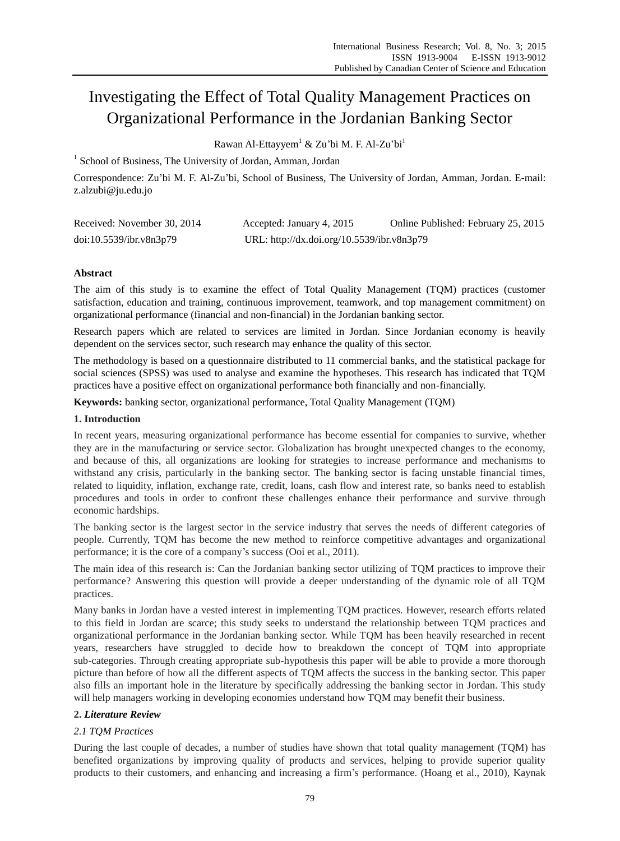# Investigating the Effect of Total Quality Management Practices on Organizational Performance in the Jordanian Banking Sector

Rawan Al-Ettayyem<sup>1</sup> & Zu'bi M. F. Al-Zu'bi<sup>1</sup>

<sup>1</sup> School of Business, The University of Jordan, Amman, Jordan

Correspondence: Zu"bi M. F. Al-Zu"bi, School of Business, The University of Jordan, Amman, Jordan. E-mail: z.alzubi@ju.edu.jo

| Received: November 30, 2014 | Accepted: January 4, 2015                  | Online Published: February 25, 2015 |
|-----------------------------|--------------------------------------------|-------------------------------------|
| doi:10.5539/ibr.v8n3p79     | URL: http://dx.doi.org/10.5539/ibr.v8n3p79 |                                     |

## **Abstract**

The aim of this study is to examine the effect of Total Quality Management (TQM) practices (customer satisfaction, education and training, continuous improvement, teamwork, and top management commitment) on organizational performance (financial and non-financial) in the Jordanian banking sector.

Research papers which are related to services are limited in Jordan. Since Jordanian economy is heavily dependent on the services sector, such research may enhance the quality of this sector.

The methodology is based on a questionnaire distributed to 11 commercial banks, and the statistical package for social sciences (SPSS) was used to analyse and examine the hypotheses. This research has indicated that TQM practices have a positive effect on organizational performance both financially and non-financially.

**Keywords:** banking sector, organizational performance, Total Quality Management (TQM)

## **1. Introduction**

In recent years, measuring organizational performance has become essential for companies to survive, whether they are in the manufacturing or service sector. Globalization has brought unexpected changes to the economy, and because of this, all organizations are looking for strategies to increase performance and mechanisms to withstand any crisis, particularly in the banking sector. The banking sector is facing unstable financial times, related to liquidity, inflation, exchange rate, credit, loans, cash flow and interest rate, so banks need to establish procedures and tools in order to confront these challenges enhance their performance and survive through economic hardships.

The banking sector is the largest sector in the service industry that serves the needs of different categories of people. Currently, TQM has become the new method to reinforce competitive advantages and organizational performance; it is the core of a company"s success (Ooi et al., 2011).

The main idea of this research is: Can the Jordanian banking sector utilizing of TQM practices to improve their performance? Answering this question will provide a deeper understanding of the dynamic role of all TQM practices.

Many banks in Jordan have a vested interest in implementing TQM practices. However, research efforts related to this field in Jordan are scarce; this study seeks to understand the relationship between TQM practices and organizational performance in the Jordanian banking sector. While TQM has been heavily researched in recent years, researchers have struggled to decide how to breakdown the concept of TQM into appropriate sub-categories. Through creating appropriate sub-hypothesis this paper will be able to provide a more thorough picture than before of how all the different aspects of TQM affects the success in the banking sector. This paper also fills an important hole in the literature by specifically addressing the banking sector in Jordan. This study will help managers working in developing economies understand how TQM may benefit their business.

## **2.** *Literature Review*

## *2.1 TQM Practices*

During the last couple of decades, a number of studies have shown that total quality management (TQM) has benefited organizations by improving quality of products and services, helping to provide superior quality products to their customers, and enhancing and increasing a firm"s performance. (Hoang et al., 2010), Kaynak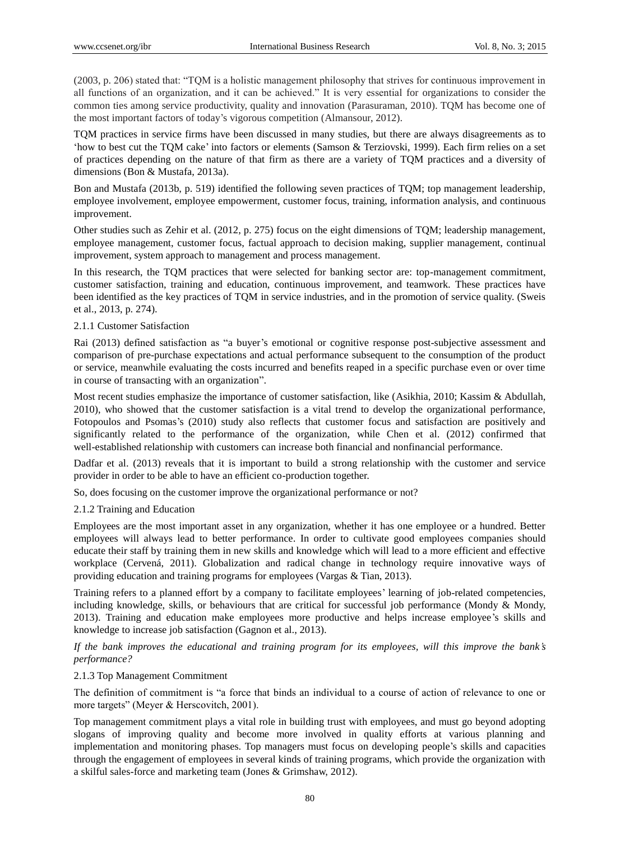(2003, p. 206) stated that: "TQM is a holistic management philosophy that strives for continuous improvement in all functions of an organization, and it can be achieved." It is very essential for organizations to consider the common ties among service productivity, quality and innovation (Parasuraman, 2010). TQM has become one of the most important factors of today"s vigorous competition (Almansour, 2012).

TQM practices in service firms have been discussed in many studies, but there are always disagreements as to "how to best cut the TQM cake" into factors or elements (Samson & Terziovski, 1999). Each firm relies on a set of practices depending on the nature of that firm as there are a variety of TQM practices and a diversity of dimensions (Bon & Mustafa, 2013a).

Bon and Mustafa (2013b, p. 519) identified the following seven practices of TQM; top management leadership, employee involvement, employee empowerment, customer focus, training, information analysis, and continuous improvement.

Other studies such as Zehir et al. (2012, p. 275) focus on the eight dimensions of TQM; leadership management, employee management, customer focus, factual approach to decision making, supplier management, continual improvement, system approach to management and process management.

In this research, the TQM practices that were selected for banking sector are: top-management commitment, customer satisfaction, training and education, continuous improvement, and teamwork. These practices have been identified as the key practices of TQM in service industries, and in the promotion of service quality. (Sweis et al., 2013, p. 274).

## 2.1.1 Customer Satisfaction

Rai (2013) defined satisfaction as "a buyer's emotional or cognitive response post-subjective assessment and comparison of pre-purchase expectations and actual performance subsequent to the consumption of the product or service, meanwhile evaluating the costs incurred and benefits reaped in a specific purchase even or over time in course of transacting with an organization".

Most recent studies emphasize the importance of customer satisfaction, like (Asikhia, 2010; Kassim & Abdullah, 2010), who showed that the customer satisfaction is a vital trend to develop the organizational performance, Fotopoulos and Psomas"s (2010) study also reflects that customer focus and satisfaction are positively and significantly related to the performance of the organization, while Chen et al. (2012) confirmed that well-established relationship with customers can increase both financial and nonfinancial performance.

Dadfar et al. (2013) reveals that it is important to build a strong relationship with the customer and service provider in order to be able to have an efficient co-production together.

So, does focusing on the customer improve the organizational performance or not?

## 2.1.2 Training and Education

Employees are the most important asset in any organization, whether it has one employee or a hundred. Better employees will always lead to better performance. In order to cultivate good employees companies should educate their staff by training them in new skills and knowledge which will lead to a more efficient and effective workplace (Cervená, 2011). Globalization and radical change in technology require innovative ways of providing education and training programs for employees (Vargas & Tian, 2013).

Training refers to a planned effort by a company to facilitate employees" learning of job-related competencies, including knowledge, skills, or behaviours that are critical for successful job performance (Mondy & Mondy, 2013). Training and education make employees more productive and helps increase employee"s skills and knowledge to increase job satisfaction (Gagnon et al., 2013).

*If the bank improves the educational and training program for its employees, will this improve the bank's performance?*

## 2.1.3 Top Management Commitment

The definition of commitment is "a force that binds an individual to a course of action of relevance to one or more targets" (Meyer & Herscovitch, 2001).

Top management commitment plays a vital role in building trust with employees, and must go beyond adopting slogans of improving quality and become more involved in quality efforts at various planning and implementation and monitoring phases. Top managers must focus on developing people"s skills and capacities through the engagement of employees in several kinds of training programs, which provide the organization with a skilful sales-force and marketing team (Jones & Grimshaw, 2012).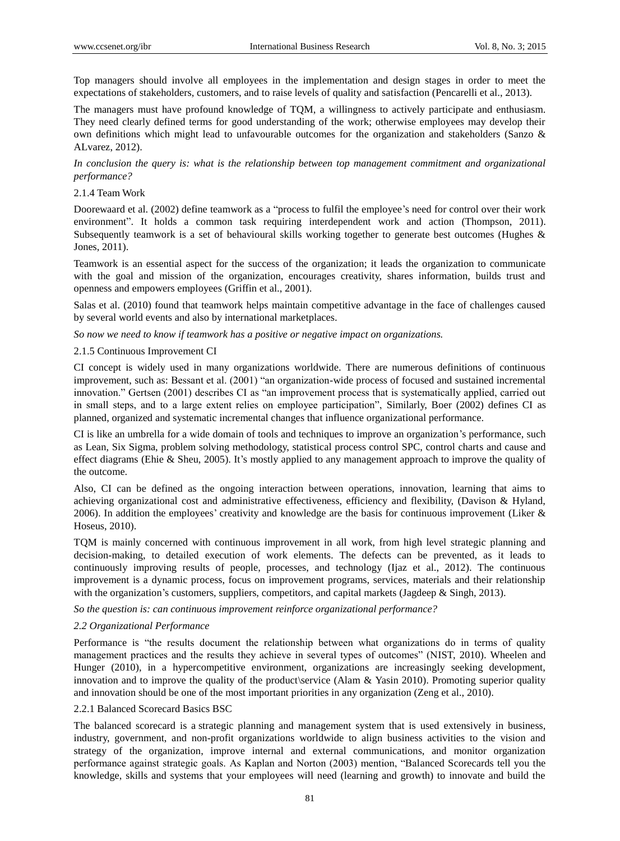Top managers should involve all employees in the implementation and design stages in order to meet the expectations of stakeholders, customers, and to raise levels of quality and satisfaction (Pencarelli et al., 2013).

The managers must have profound knowledge of TQM, a willingness to actively participate and enthusiasm. They need clearly defined terms for good understanding of the work; otherwise employees may develop their own definitions which might lead to unfavourable outcomes for the organization and stakeholders (Sanzo & ALvarez, 2012).

*In conclusion the query is: what is the relationship between top management commitment and organizational performance?*

## 2.1.4 Team Work

Doorewaard et al. (2002) define teamwork as a "process to fulfil the employee's need for control over their work environment". It holds a common task requiring interdependent work and action (Thompson, 2011). Subsequently teamwork is a set of behavioural skills working together to generate best outcomes (Hughes & Jones, 2011).

Teamwork is an essential aspect for the success of the organization; it leads the organization to communicate with the goal and mission of the organization, encourages creativity, shares information, builds trust and openness and empowers employees (Griffin et al., 2001).

Salas et al. (2010) found that teamwork helps maintain competitive advantage in the face of challenges caused by several world events and also by international marketplaces.

*So now we need to know if teamwork has a positive or negative impact on organizations.*

#### 2.1.5 Continuous Improvement CI

CI concept is widely used in many organizations worldwide. There are numerous definitions of continuous improvement, such as: Bessant et al. (2001) "an organization-wide process of focused and sustained incremental innovation." Gertsen (2001) describes CI as "an improvement process that is systematically applied, carried out in small steps, and to a large extent relies on employee participation", Similarly, Boer (2002) defines CI as planned, organized and systematic incremental changes that influence organizational performance.

CI is like an umbrella for a wide domain of tools and techniques to improve an organization"s performance, such as Lean, Six Sigma, problem solving methodology, statistical process control SPC, control charts and cause and effect diagrams (Ehie & Sheu, 2005). It's mostly applied to any management approach to improve the quality of the outcome.

Also, CI can be defined as the ongoing interaction between operations, innovation, learning that aims to achieving organizational cost and administrative effectiveness, efficiency and flexibility, (Davison & Hyland, 2006). In addition the employees' creativity and knowledge are the basis for continuous improvement (Liker  $\&$ Hoseus, 2010).

TQM is mainly concerned with continuous improvement in all work, from high level strategic planning and decision-making, to detailed execution of work elements. The defects can be prevented, as it leads to continuously improving results of people, processes, and technology (Ijaz et al., 2012). The continuous improvement is a dynamic process, focus on improvement programs, services, materials and their relationship with the organization's customers, suppliers, competitors, and capital markets (Jagdeep & Singh, 2013).

*So the question is: can continuous improvement reinforce organizational performance?*

## *2.2 Organizational Performance*

Performance is "the results document the relationship between what organizations do in terms of quality management practices and the results they achieve in several types of outcomes" (NIST, 2010). Wheelen and Hunger (2010), in a hypercompetitive environment, organizations are increasingly seeking development, innovation and to improve the quality of the product\service (Alam & Yasin 2010). Promoting superior quality and innovation should be one of the most important priorities in any organization (Zeng et al., 2010).

## 2.2.1 Balanced Scorecard Basics BSC

The balanced scorecard is a strategic planning and management system that is used extensively in business, industry, government, and non-profit organizations worldwide to align business activities to the vision and strategy of the organization, improve internal and external communications, and monitor organization performance against strategic goals. As Kaplan and Norton (2003) mention, "Balanced Scorecards tell you the knowledge, skills and systems that your employees will need (learning and growth) to innovate and build the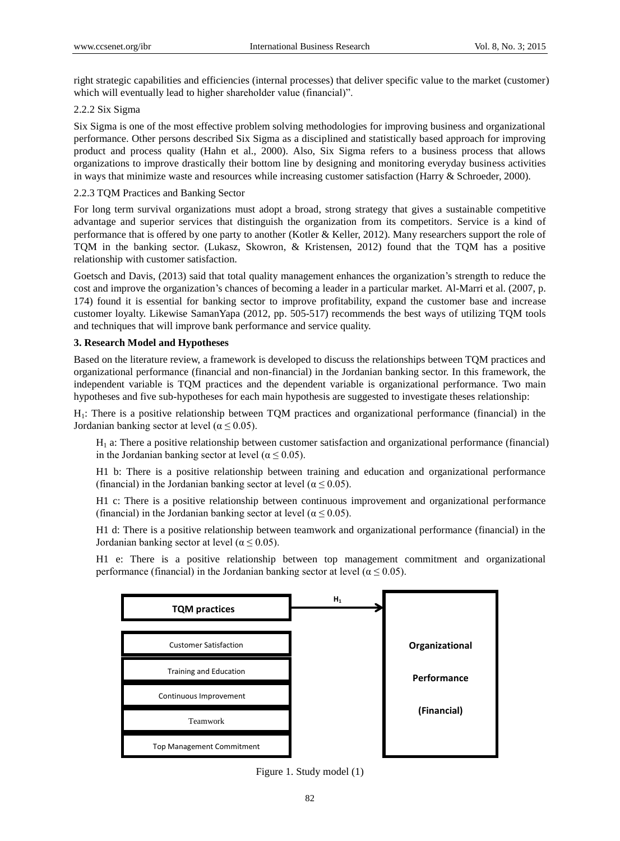right strategic capabilities and efficiencies (internal processes) that deliver specific value to the market (customer) which will eventually lead to higher shareholder value (financial)".

## 2.2.2 Six Sigma

Six Sigma is one of the most effective problem solving methodologies for improving business and organizational performance. Other persons described Six Sigma as a disciplined and statistically based approach for improving product and process quality (Hahn et al., 2000). Also, Six Sigma refers to a business process that allows organizations to improve drastically their bottom line by designing and monitoring everyday business activities in ways that minimize waste and resources while increasing customer satisfaction (Harry & Schroeder, 2000).

## 2.2.3 TQM Practices and Banking Sector

For long term survival organizations must adopt a broad, strong strategy that gives a sustainable competitive advantage and superior services that distinguish the organization from its competitors. Service is a kind of performance that is offered by one party to another (Kotler & Keller, 2012). Many researchers support the role of TQM in the banking sector. (Lukasz, Skowron, & Kristensen, 2012) found that the TQM has a positive relationship with customer satisfaction.

Goetsch and Davis, (2013) said that total quality management enhances the organization's strength to reduce the cost and improve the organization"s chances of becoming a leader in a particular market. Al-Marri et al. (2007, p. 174) found it is essential for banking sector to improve profitability, expand the customer base and increase customer loyalty. Likewise SamanYapa (2012, pp. 505-517) recommends the best ways of utilizing TQM tools and techniques that will improve bank performance and service quality.

## **3. Research Model and Hypotheses**

Based on the literature review, a framework is developed to discuss the relationships between TQM practices and organizational performance (financial and non-financial) in the Jordanian banking sector. In this framework, the independent variable is TQM practices and the dependent variable is organizational performance. Two main hypotheses and five sub-hypotheses for each main hypothesis are suggested to investigate theses relationship:

H1: There is a positive relationship between TQM practices and organizational performance (financial) in the Jordanian banking sector at level ( $\alpha \le 0.05$ ).

H<sup>1</sup> a: There a positive relationship between customer satisfaction and organizational performance (financial) in the Jordanian banking sector at level ( $\alpha \le 0.05$ ).

H1 b: There is a positive relationship between training and education and organizational performance (financial) in the Jordanian banking sector at level ( $\alpha \le 0.05$ ).

H1 c: There is a positive relationship between continuous improvement and organizational performance (financial) in the Jordanian banking sector at level ( $\alpha \le 0.05$ ).

H1 d: There is a positive relationship between teamwork and organizational performance (financial) in the Jordanian banking sector at level ( $\alpha \le 0.05$ ).

H1 e: There is a positive relationship between top management commitment and organizational performance (financial) in the Jordanian banking sector at level ( $\alpha \le 0.05$ ).



Figure 1. Study model (1)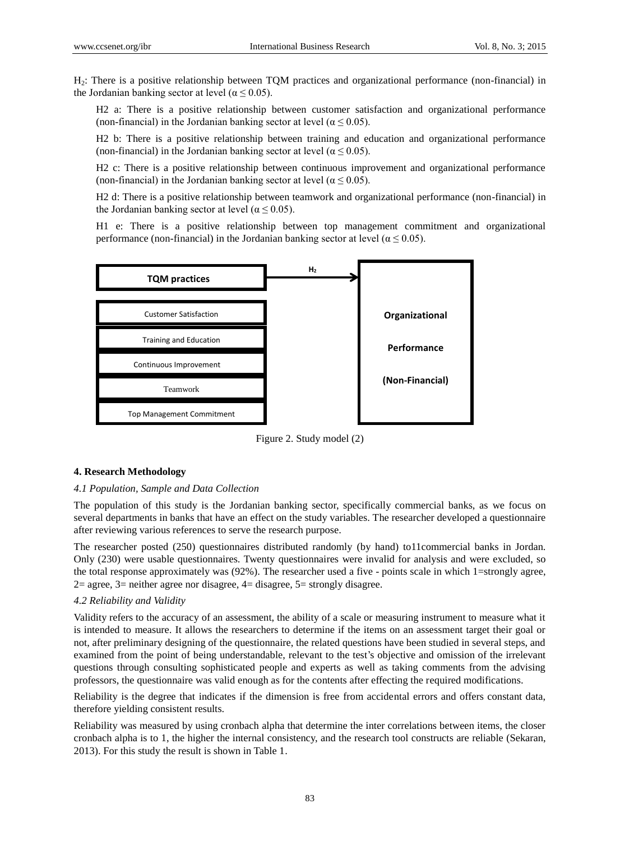H<sub>2</sub>: There is a positive relationship between TQM practices and organizational performance (non-financial) in the Jordanian banking sector at level ( $\alpha$  < 0.05).

H2 a: There is a positive relationship between customer satisfaction and organizational performance (non-financial) in the Jordanian banking sector at level ( $\alpha \le 0.05$ ).

H2 b: There is a positive relationship between training and education and organizational performance (non-financial) in the Jordanian banking sector at level ( $\alpha \le 0.05$ ).

H2 c: There is a positive relationship between continuous improvement and organizational performance (non-financial) in the Jordanian banking sector at level ( $\alpha \le 0.05$ ).

H2 d: There is a positive relationship between teamwork and organizational performance (non-financial) in the Jordanian banking sector at level ( $\alpha \leq 0.05$ ).

H1 e: There is a positive relationship between top management commitment and organizational performance (non-financial) in the Jordanian banking sector at level ( $\alpha \le 0.05$ ).



Figure 2. Study model (2)

#### **4. Research Methodology**

#### *4.1 Population, Sample and Data Collection*

The population of this study is the Jordanian banking sector, specifically commercial banks, as we focus on several departments in banks that have an effect on the study variables. The researcher developed a questionnaire after reviewing various references to serve the research purpose.

The researcher posted (250) questionnaires distributed randomly (by hand) to11commercial banks in Jordan. Only (230) were usable questionnaires. Twenty questionnaires were invalid for analysis and were excluded, so the total response approximately was (92%). The researcher used a five - points scale in which 1=strongly agree,  $2=$  agree,  $3=$  neither agree nor disagree,  $4=$  disagree,  $5=$  strongly disagree.

#### *4.2 Reliability and Validity*

Validity refers to the accuracy of an assessment, the ability of a scale or measuring instrument to measure what it is intended to measure. It allows the researchers to determine if the items on an assessment target their goal or not, after preliminary designing of the questionnaire, the related questions have been studied in several steps, and examined from the point of being understandable, relevant to the test's objective and omission of the irrelevant questions through consulting sophisticated people and experts as well as taking comments from the advising professors, the questionnaire was valid enough as for the contents after effecting the required modifications.

Reliability is the degree that indicates if the dimension is free from accidental errors and offers constant data, therefore yielding consistent results.

Reliability was measured by using cronbach alpha that determine the inter correlations between items, the closer cronbach alpha is to 1, the higher the internal consistency, and the research tool constructs are reliable (Sekaran, 2013). For this study the result is shown in Table 1.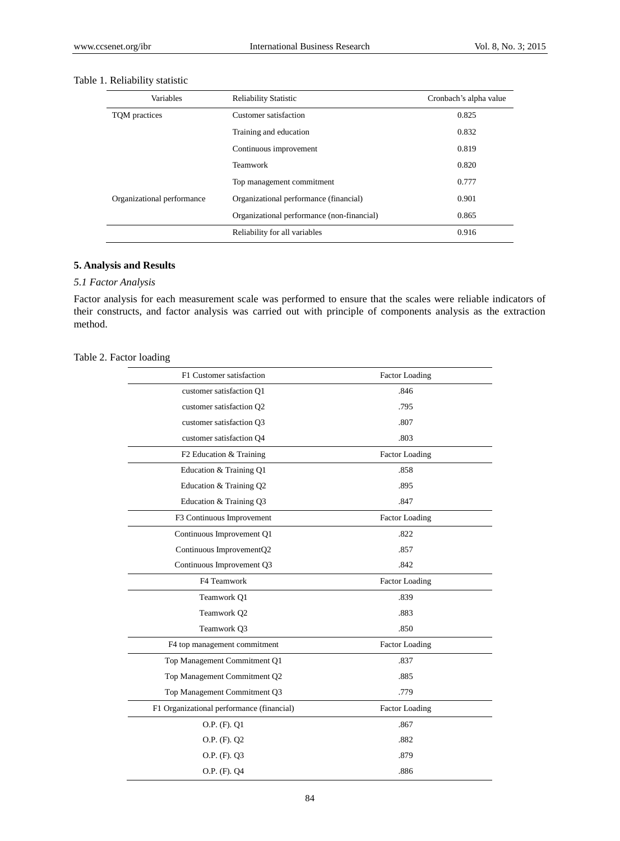## Table 1. Reliability statistic

| Variables                  | <b>Reliability Statistic</b>               | Cronbach's alpha value |
|----------------------------|--------------------------------------------|------------------------|
| TQM practices              | Customer satisfaction                      | 0.825                  |
|                            | Training and education                     | 0.832                  |
|                            | Continuous improvement                     | 0.819                  |
|                            | Teamwork                                   | 0.820                  |
|                            | Top management commitment                  | 0.777                  |
| Organizational performance | Organizational performance (financial)     | 0.901                  |
|                            | Organizational performance (non-financial) | 0.865                  |
|                            | Reliability for all variables              | 0.916                  |

## **5. Analysis and Results**

## *5.1 Factor Analysis*

Factor analysis for each measurement scale was performed to ensure that the scales were reliable indicators of their constructs, and factor analysis was carried out with principle of components analysis as the extraction method.

# Table 2. Factor loading

| F1 Customer satisfaction                  | <b>Factor Loading</b> |
|-------------------------------------------|-----------------------|
| customer satisfaction Q1                  | .846                  |
| customer satisfaction Q2                  | .795                  |
| customer satisfaction Q3                  | .807                  |
| customer satisfaction Q4                  | .803                  |
| F2 Education & Training                   | <b>Factor Loading</b> |
| Education & Training Q1                   | .858                  |
| Education & Training Q2                   | .895                  |
| Education & Training Q3                   | .847                  |
| F3 Continuous Improvement                 | <b>Factor Loading</b> |
| Continuous Improvement Q1                 | .822                  |
| Continuous ImprovementQ2                  | .857                  |
| Continuous Improvement Q3                 | .842                  |
| F4 Teamwork                               | <b>Factor Loading</b> |
| Teamwork Q1                               | .839                  |
| Teamwork Q2                               | .883                  |
| Teamwork Q3                               | .850                  |
| F4 top management commitment              | <b>Factor Loading</b> |
| Top Management Commitment Q1              | .837                  |
| Top Management Commitment Q2              | .885                  |
| Top Management Commitment Q3              | .779                  |
| F1 Organizational performance (financial) | <b>Factor Loading</b> |
| O.P. (F). Q1                              | .867                  |
| O.P. (F). Q2                              | .882                  |
| O.P. (F). Q3                              | .879                  |
| O.P. (F). Q4                              | .886                  |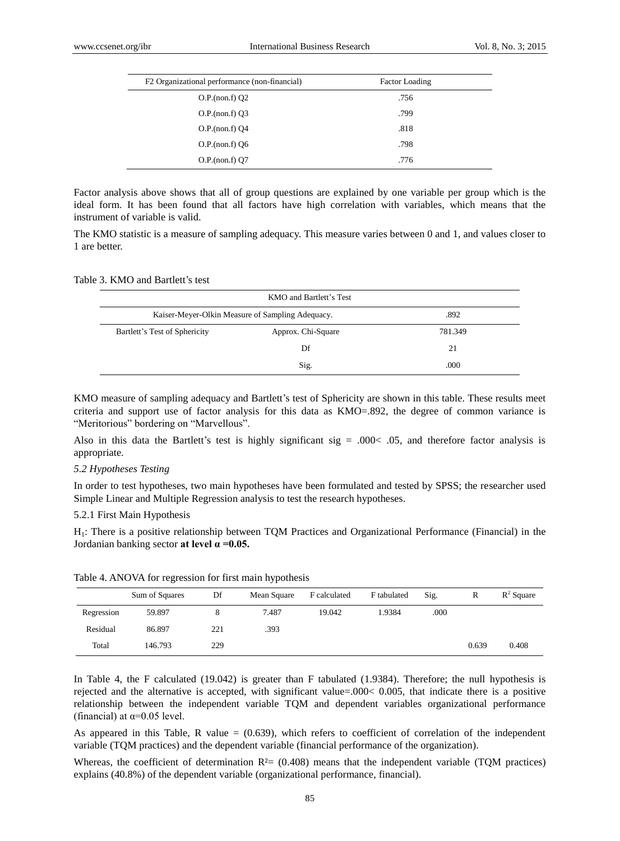| F2 Organizational performance (non-financial) | Factor Loading |
|-----------------------------------------------|----------------|
| O.P.(non.f) Q2                                | .756           |
| O.P.(non.f) Q3                                | .799           |
| O.P.(non.f) O4                                | .818           |
| $O.P.(non.f) O6$                              | .798           |
| O.P.(non.f) Q7                                | .776           |

Factor analysis above shows that all of group questions are explained by one variable per group which is the ideal form. It has been found that all factors have high correlation with variables, which means that the instrument of variable is valid.

The KMO statistic is a measure of sampling adequacy. This measure varies between 0 and 1, and values closer to 1 are better.

#### Table 3. KMO and Bartlett's test

| KMO and Bartlett's Test                                  |                    |         |  |  |  |
|----------------------------------------------------------|--------------------|---------|--|--|--|
| .892<br>Kaiser-Meyer-Olkin Measure of Sampling Adequacy. |                    |         |  |  |  |
| Bartlett's Test of Sphericity                            | Approx. Chi-Square | 781.349 |  |  |  |
|                                                          | Df                 | 21      |  |  |  |
|                                                          | Sig.               | .000    |  |  |  |

KMO measure of sampling adequacy and Bartlett's test of Sphericity are shown in this table. These results meet criteria and support use of factor analysis for this data as KMO=.892, the degree of common variance is "Meritorious" bordering on "Marvellous".

Also in this data the Bartlett's test is highly significant sig  $= .000< .05$ , and therefore factor analysis is appropriate.

#### *5.2 Hypotheses Testing*

In order to test hypotheses, two main hypotheses have been formulated and tested by SPSS; the researcher used Simple Linear and Multiple Regression analysis to test the research hypotheses.

#### 5.2.1 First Main Hypothesis

H1: There is a positive relationship between TQM Practices and Organizational Performance (Financial) in the Jordanian banking sector **at level α =0.05.**

|            | Sum of Squares | Df  | Mean Square | F calculated | F tabulated | Sig. | R     | $R^2$ Square |
|------------|----------------|-----|-------------|--------------|-------------|------|-------|--------------|
| Regression | 59.897         |     | 7.487       | 19.042       | 1.9384      | .000 |       |              |
| Residual   | 86.897         | 221 | .393        |              |             |      |       |              |
| Total      | 146.793        | 229 |             |              |             |      | 0.639 | 0.408        |

Table 4. ANOVA for regression for first main hypothesis

In Table 4, the F calculated (19.042) is greater than F tabulated (1.9384). Therefore; the null hypothesis is rejected and the alternative is accepted, with significant value=.000< 0.005, that indicate there is a positive relationship between the independent variable TQM and dependent variables organizational performance (financial) at  $\alpha$ =0.05 level.

As appeared in this Table, R value  $= (0.639)$ , which refers to coefficient of correlation of the independent variable (TQM practices) and the dependent variable (financial performance of the organization).

Whereas, the coefficient of determination  $R \succeq (0.408)$  means that the independent variable (TOM practices) explains (40.8%) of the dependent variable (organizational performance, financial).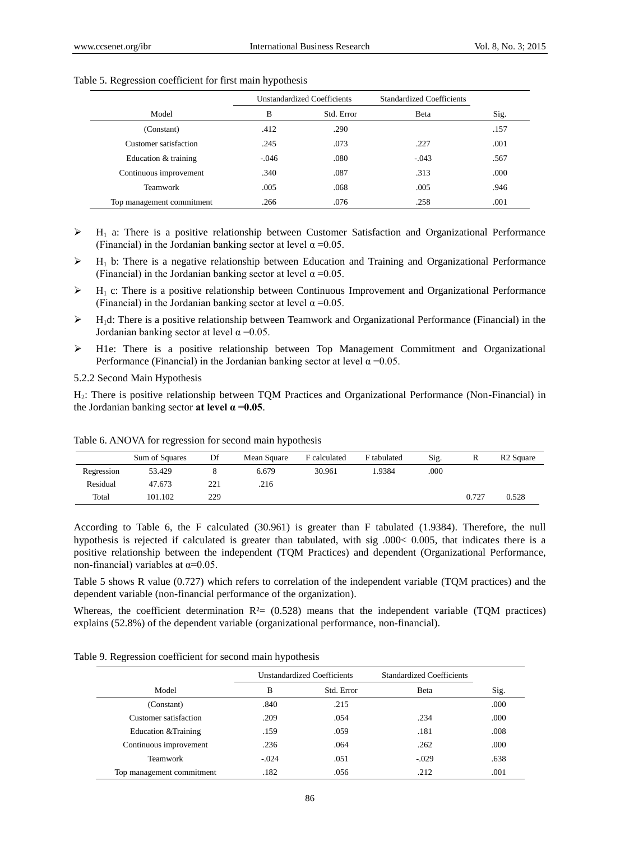|                           | <b>Unstandardized Coefficients</b> |            | <b>Standardized Coefficients</b> |      |  |
|---------------------------|------------------------------------|------------|----------------------------------|------|--|
| Model                     | B                                  | Std. Error | Beta                             | Sig. |  |
| (Constant)                | .412                               | .290       |                                  | .157 |  |
| Customer satisfaction     | .245                               | .073       | .227                             | .001 |  |
| Education & training      | $-.046$                            | .080       | $-.043$                          | .567 |  |
| Continuous improvement    | .340                               | .087       | .313                             | .000 |  |
| Teamwork                  | .005                               | .068       | .005                             | .946 |  |
| Top management commitment | .266                               | .076       | .258                             | .001 |  |

#### Table 5. Regression coefficient for first main hypothesis

- $\triangleright$  H<sub>1</sub> a: There is a positive relationship between Customer Satisfaction and Organizational Performance (Financial) in the Jordanian banking sector at level  $\alpha = 0.05$ .
- $\triangleright$  H<sub>1</sub> b: There is a negative relationship between Education and Training and Organizational Performance (Financial) in the Jordanian banking sector at level  $\alpha = 0.05$ .
- $\triangleright$  H<sub>1</sub> c: There is a positive relationship between Continuous Improvement and Organizational Performance (Financial) in the Jordanian banking sector at level  $\alpha = 0.05$ .
- $\triangleright$  H<sub>1</sub>d: There is a positive relationship between Teamwork and Organizational Performance (Financial) in the Jordanian banking sector at level  $\alpha$  =0.05.
- H1e: There is a positive relationship between Top Management Commitment and Organizational Performance (Financial) in the Jordanian banking sector at level  $\alpha = 0.05$ .

## 5.2.2 Second Main Hypothesis

H2: There is positive relationship between TQM Practices and Organizational Performance (Non-Financial) in the Jordanian banking sector **at level**  $\alpha = 0.05$ .

|            | Sum of Squares | Df  | Mean Square | F calculated | F tabulated | Sig. | R     | R <sub>2</sub> Square |
|------------|----------------|-----|-------------|--------------|-------------|------|-------|-----------------------|
| Regression | 53.429         |     | 6.679       | 30.961       | .9384       | .000 |       |                       |
| Residual   | 47.673         | 221 | .216        |              |             |      |       |                       |
| Total      | 101.102        | 229 |             |              |             |      | 0.727 | 0.528                 |

Table 6. ANOVA for regression for second main hypothesis

According to Table 6, the F calculated (30.961) is greater than F tabulated (1.9384). Therefore, the null hypothesis is rejected if calculated is greater than tabulated, with sig .000< 0.005, that indicates there is a positive relationship between the independent (TQM Practices) and dependent (Organizational Performance, non-financial) variables at  $\alpha$ =0.05.

Table 5 shows R value (0.727) which refers to correlation of the independent variable (TQM practices) and the dependent variable (non-financial performance of the organization).

Whereas, the coefficient determination  $R \geq (0.528)$  means that the independent variable (TOM practices) explains (52.8%) of the dependent variable (organizational performance, non-financial).

|  | Table 9. Regression coefficient for second main hypothesis |  |  |
|--|------------------------------------------------------------|--|--|
|  |                                                            |  |  |

|                           | <b>Unstandardized Coefficients</b> |            | <b>Standardized Coefficients</b> |      |  |
|---------------------------|------------------------------------|------------|----------------------------------|------|--|
| Model                     | B                                  | Std. Error | Beta                             | Sig. |  |
| (Constant)                | .840                               | .215       |                                  | .000 |  |
| Customer satisfaction     | .209                               | .054       | .234                             | .000 |  |
| Education & Training      | .159                               | .059       | .181                             | .008 |  |
| Continuous improvement    | .236                               | .064       | .262                             | .000 |  |
| Teamwork                  | $-.024$                            | .051       | $-.029$                          | .638 |  |
| Top management commitment | .182                               | .056       | .212                             | .001 |  |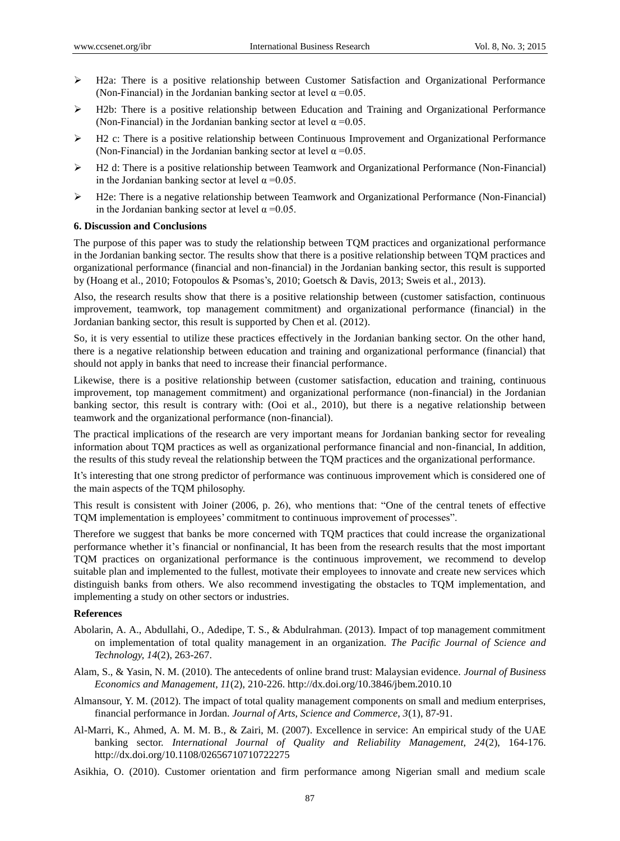- H2a: There is a positive relationship between Customer Satisfaction and Organizational Performance (Non-Financial) in the Jordanian banking sector at level  $\alpha = 0.05$ .
- H2b: There is a positive relationship between Education and Training and Organizational Performance (Non-Financial) in the Jordanian banking sector at level  $\alpha$  =0.05.
- $\triangleright$  H2 c: There is a positive relationship between Continuous Improvement and Organizational Performance (Non-Financial) in the Jordanian banking sector at level  $\alpha = 0.05$ .
- $\triangleright$  H2 d: There is a positive relationship between Teamwork and Organizational Performance (Non-Financial) in the Jordanian banking sector at level  $\alpha = 0.05$ .
- H2e: There is a negative relationship between Teamwork and Organizational Performance (Non-Financial) in the Jordanian banking sector at level  $\alpha = 0.05$ .

#### **6. Discussion and Conclusions**

The purpose of this paper was to study the relationship between TQM practices and organizational performance in the Jordanian banking sector. The results show that there is a positive relationship between TQM practices and organizational performance (financial and non-financial) in the Jordanian banking sector, this result is supported by (Hoang et al., 2010; Fotopoulos & Psomas"s, 2010; Goetsch & Davis, 2013; Sweis et al., 2013).

Also, the research results show that there is a positive relationship between (customer satisfaction, continuous improvement, teamwork, top management commitment) and organizational performance (financial) in the Jordanian banking sector, this result is supported by Chen et al. (2012).

So, it is very essential to utilize these practices effectively in the Jordanian banking sector. On the other hand, there is a negative relationship between education and training and organizational performance (financial) that should not apply in banks that need to increase their financial performance.

Likewise, there is a positive relationship between (customer satisfaction, education and training, continuous improvement, top management commitment) and organizational performance (non-financial) in the Jordanian banking sector, this result is contrary with: (Ooi et al., 2010), but there is a negative relationship between teamwork and the organizational performance (non-financial).

The practical implications of the research are very important means for Jordanian banking sector for revealing information about TQM practices as well as organizational performance financial and non-financial, In addition, the results of this study reveal the relationship between the TQM practices and the organizational performance.

It's interesting that one strong predictor of performance was continuous improvement which is considered one of the main aspects of the TQM philosophy.

This result is consistent with Joiner (2006, p. 26), who mentions that: "One of the central tenets of effective TQM implementation is employees" commitment to continuous improvement of processes".

Therefore we suggest that banks be more concerned with TQM practices that could increase the organizational performance whether it"s financial or nonfinancial, It has been from the research results that the most important TQM practices on organizational performance is the continuous improvement, we recommend to develop suitable plan and implemented to the fullest, motivate their employees to innovate and create new services which distinguish banks from others. We also recommend investigating the obstacles to TQM implementation, and implementing a study on other sectors or industries.

## **References**

- Abolarin, A. A., Abdullahi, O., Adedipe, T. S., & Abdulrahman. (2013). Impact of top management commitment on implementation of total quality management in an organization. *The Pacific Journal of Science and Technology, 14*(2), 263-267.
- Alam, S., & Yasin, N. M. (2010). The antecedents of online brand trust: Malaysian evidence. *Journal of Business Economics and Management, 11*(2), 210-226. http://dx.doi.org/10.3846/jbem.2010.10
- Almansour, Y. M. (2012). The impact of total quality management components on small and medium enterprises, financial performance in Jordan. *Journal of Arts, Science and Commerce, 3*(1), 87-91.
- Al-Marri, K., Ahmed, A. M. M. B., & Zairi, M. (2007). Excellence in service: An empirical study of the UAE banking sector. *International Journal of Quality and Reliability Management, 24*(2), 164-176. http://dx.doi.org/10.1108/02656710710722275
- Asikhia, O. (2010). Customer orientation and firm performance among Nigerian small and medium scale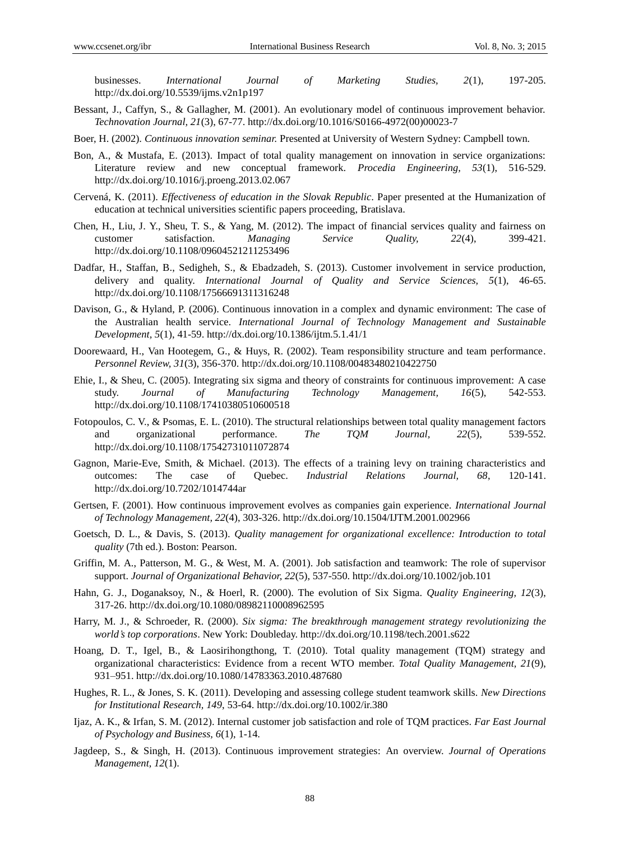businesses. *International Journal of Marketing Studies, 2*(1), 197-205. http://dx.doi.org/10.5539/ijms.v2n1p197

Bessant, J., Caffyn, S., & Gallagher, M. (2001). An evolutionary model of continuous improvement behavior. *Technovation Journal, 21*(3), 67-77. http://dx.doi.org/10.1016/S0166-4972(00)00023-7

Boer, H. (2002). *Continuous innovation seminar.* Presented at University of Western Sydney: Campbell town.

- Bon, A., & Mustafa, E. (2013). Impact of total quality management on innovation in service organizations: Literature review and new conceptual framework. *Procedia Engineering, 53*(1), 516-529. http://dx.doi.org/10.1016/j.proeng.2013.02.067
- Cervená, K. (2011). *Effectiveness of education in the Slovak Republic*. Paper presented at the Humanization of education at technical universities scientific papers proceeding, Bratislava.
- Chen, H., Liu, J. Y., Sheu, T. S., & Yang, M. (2012). The impact of financial services quality and fairness on customer satisfaction. *Managing Service Quality, 22*(4), 399-421. http://dx.doi.org/10.1108/09604521211253496
- Dadfar, H., Staffan, B., Sedigheh, S., & Ebadzadeh, S. (2013). Customer involvement in service production, delivery and quality. *International Journal of Quality and Service Sciences, 5*(1), 46-65. http://dx.doi.org/10.1108/17566691311316248
- Davison, G., & Hyland, P. (2006). Continuous innovation in a complex and dynamic environment: The case of the Australian health service. *International Journal of Technology Management and Sustainable Development, 5*(1), 41-59. http://dx.doi.org/10.1386/ijtm.5.1.41/1
- Doorewaard, H., Van Hootegem, G., & Huys, R. (2002). Team responsibility structure and team performance. *Personnel Review, 31*(3), 356-370. http://dx.doi.org/10.1108/00483480210422750
- Ehie, I., & Sheu, C. (2005). Integrating six sigma and theory of constraints for continuous improvement: A case study. *Journal of Manufacturing Technology Management, 16*(5), 542-553. http://dx.doi.org/10.1108/17410380510600518
- Fotopoulos, C. V., & Psomas, E. L. (2010). The structural relationships between total quality management factors and organizational performance. *The TQM Journal, 22*(5), 539-552. http://dx.doi.org/10.1108/17542731011072874
- Gagnon, Marie-Eve, Smith, & Michael. (2013). The effects of a training levy on training characteristics and outcomes: The case of Quebec. *Industrial Relations Journal, 68*, 120-141. http://dx.doi.org/10.7202/1014744ar
- Gertsen, F. (2001). How continuous improvement evolves as companies gain experience. *International Journal of Technology Management, 22*(4), 303-326. http://dx.doi.org/10.1504/IJTM.2001.002966
- Goetsch, D. L., & Davis, S. (2013). *Quality management for organizational excellence: Introduction to total quality* (7th ed.). Boston: Pearson.
- Griffin, M. A., Patterson, M. G., & West, M. A. (2001). Job satisfaction and teamwork: The role of supervisor support. *Journal of Organizational Behavior, 22*(5), 537-550. http://dx.doi.org/10.1002/job.101
- Hahn, G. J., Doganaksoy, N., & Hoerl, R. (2000). The evolution of Six Sigma. *Quality Engineering, 12*(3), 317-26. http://dx.doi.org/10.1080/08982110008962595
- Harry, M. J., & Schroeder, R. (2000). *Six sigma: The breakthrough management strategy revolutionizing the world's top corporations*. New York: Doubleday. http://dx.doi.org/10.1198/tech.2001.s622
- Hoang, D. T., Igel, B., & Laosirihongthong, T. (2010). Total quality management (TQM) strategy and organizational characteristics: Evidence from a recent WTO member. *Total Quality Management, 21*(9), 931–951. http://dx.doi.org/10.1080/14783363.2010.487680
- Hughes, R. L., & Jones, S. K. (2011). Developing and assessing college student teamwork skills. *New Directions for Institutional Research, 149*, 53-64. http://dx.doi.org/10.1002/ir.380
- Ijaz, A. K., & Irfan, S. M. (2012). Internal customer job satisfaction and role of TQM practices. *Far East Journal of Psychology and Business, 6*(1), 1-14.
- Jagdeep, S., & Singh, H. (2013). Continuous improvement strategies: An overview. *Journal of Operations Management, 12*(1).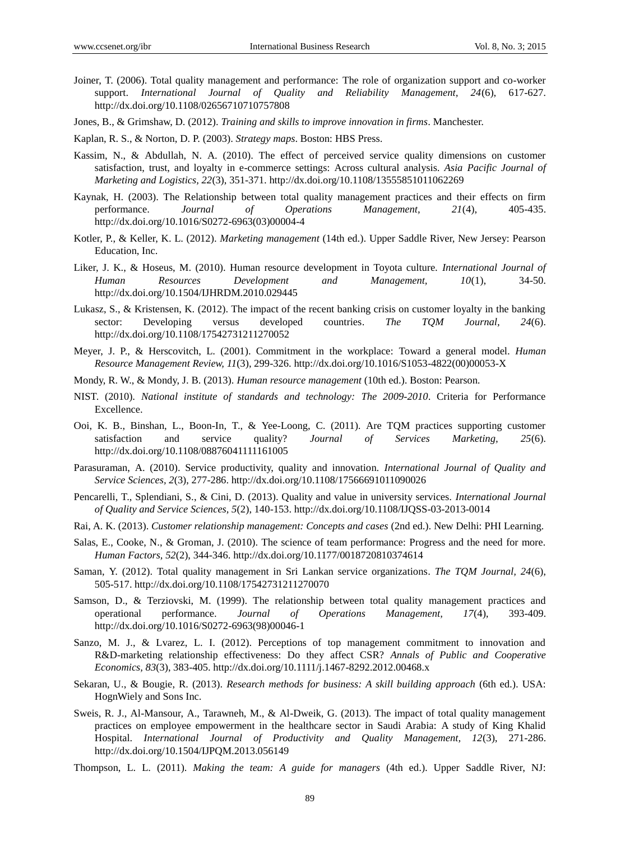- Joiner, T. (2006). Total quality management and performance: The role of organization support and co-worker support. *International Journal of Quality and Reliability Management, 24*(6), 617-627. http://dx.doi.org/10.1108/02656710710757808
- Jones, B., & Grimshaw, D. (2012). *Training and skills to improve innovation in firms*. Manchester.
- Kaplan, R. S., & Norton, D. P. (2003). *Strategy maps*. Boston: HBS Press.
- Kassim, N., & Abdullah, N. A. (2010). The effect of perceived service quality dimensions on customer satisfaction, trust, and loyalty in e-commerce settings: Across cultural analysis. *Asia Pacific Journal of Marketing and Logistics, 22*(3), 351-371. http://dx.doi.org/10.1108/13555851011062269
- Kaynak, H. (2003). The Relationship between total quality management practices and their effects on firm performance. *Journal of Operations Management, 21*(4), 405-435. http://dx.doi.org/10.1016/S0272-6963(03)00004-4
- Kotler, P., & Keller, K. L. (2012). *Marketing management* (14th ed.). Upper Saddle River, New Jersey: Pearson Education, Inc.
- Liker, J. K., & Hoseus, M. (2010). Human resource development in Toyota culture. *International Journal of Human Resources Development and Management, 10*(1), 34-50. http://dx.doi.org/10.1504/IJHRDM.2010.029445
- Lukasz, S., & Kristensen, K. (2012). The impact of the recent banking crisis on customer loyalty in the banking sector: Developing versus developed countries. *The TQM Journal, 24*(6). http://dx.doi.org/10.1108/17542731211270052
- Meyer, J. P., & Herscovitch, L. (2001). Commitment in the workplace: Toward a general model. *Human Resource Management Review, 11*(3), 299-326. http://dx.doi.org/10.1016/S1053-4822(00)00053-X
- Mondy, R. W., & Mondy, J. B. (2013). *Human resource management* (10th ed.). Boston: Pearson.
- NIST. (2010). *National institute of standards and technology: The 2009-2010*. Criteria for Performance Excellence.
- Ooi, K. B., Binshan, L., Boon-In, T., & Yee-Loong, C. (2011). Are TQM practices supporting customer satisfaction and service quality? *Journal of Services Marketing, 25*(6). http://dx.doi.org/10.1108/08876041111161005
- Parasuraman, A. (2010). Service productivity, quality and innovation. *International Journal of Quality and Service Sciences, 2*(3), 277-286. http://dx.doi.org/10.1108/17566691011090026
- Pencarelli, T., Splendiani, S., & Cini, D. (2013). Quality and value in university services. *International Journal of Quality and Service Sciences, 5*(2), 140-153. http://dx.doi.org/10.1108/IJQSS-03-2013-0014
- Rai, A. K. (2013). *Customer relationship management: Concepts and cases* (2nd ed.). New Delhi: PHI Learning.
- Salas, E., Cooke, N., & Groman, J. (2010). The science of team performance: Progress and the need for more. *Human Factors, 52*(2), 344-346. http://dx.doi.org/10.1177/0018720810374614
- Saman, Y. (2012). Total quality management in Sri Lankan service organizations. *The TQM Journal, 24*(6), 505-517. http://dx.doi.org/10.1108/17542731211270070
- Samson, D., & Terziovski, M. (1999). The relationship between total quality management practices and operational performance. *Journal of Operations Management, 17*(4), 393-409. http://dx.doi.org/10.1016/S0272-6963(98)00046-1
- Sanzo, M. J., & Lvarez, L. I. (2012). Perceptions of top management commitment to innovation and R&D-marketing relationship effectiveness: Do they affect CSR? *Annals of Public and Cooperative Economics, 83*(3), 383-405. http://dx.doi.org/10.1111/j.1467-8292.2012.00468.x
- Sekaran, U., & Bougie, R. (2013). *Research methods for business: A skill building approach* (6th ed.). USA: HognWiely and Sons Inc.
- Sweis, R. J., Al-Mansour, A., Tarawneh, M., & Al-Dweik, G. (2013). The impact of total quality management practices on employee empowerment in the healthcare sector in Saudi Arabia: A study of King Khalid Hospital. *International Journal of Productivity and Quality Management, 12*(3), 271-286. http://dx.doi.org/10.1504/IJPQM.2013.056149
- Thompson, L. L. (2011). *Making the team: A guide for managers* (4th ed.). Upper Saddle River, NJ: